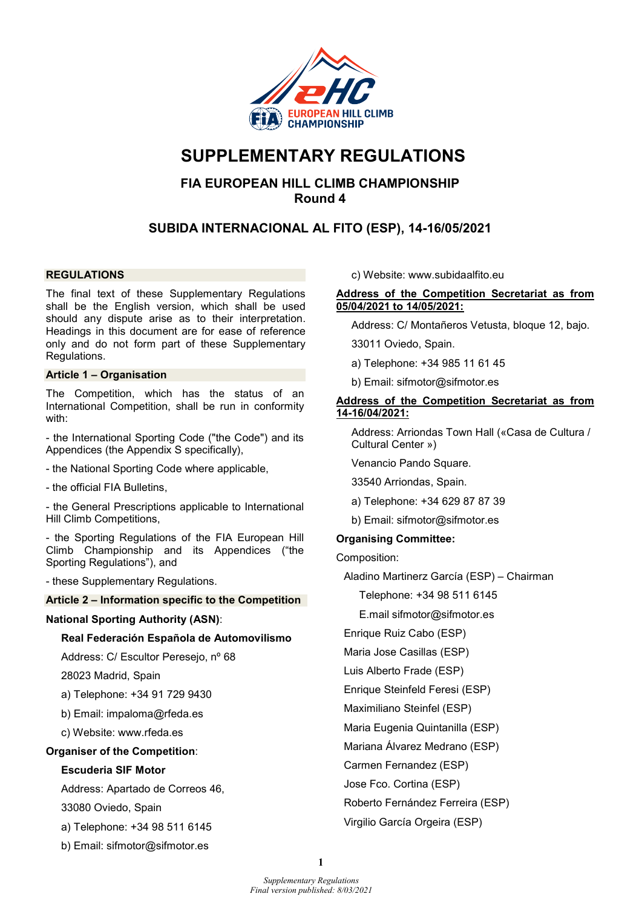

# SUPPLEMENTARY REGULATIONS

## FIA EUROPEAN HILL CLIMB CHAMPIONSHIP Round 4

## SUBIDA INTERNACIONAL AL FITO (ESP), 14-16/05/2021

## **REGULATIONS**

The final text of these Supplementary Regulations shall be the English version, which shall be used should any dispute arise as to their interpretation. Headings in this document are for ease of reference only and do not form part of these Supplementary Regulations.

## Article 1 – Organisation

The Competition, which has the status of an International Competition, shall be run in conformity with:

- the International Sporting Code ("the Code") and its Appendices (the Appendix S specifically),

- the National Sporting Code where applicable,

- the official FIA Bulletins,

- the General Prescriptions applicable to International Hill Climb Competitions,

- the Sporting Regulations of the FIA European Hill Climb Championship and its Appendices ("the Sporting Regulations"), and

- these Supplementary Regulations.

#### Article 2 – Information specific to the Competition

## National Sporting Authority (ASN):

#### Real Federación Española de Automovilismo

Address: C/ Escultor Peresejo, nº 68

28023 Madrid, Spain

a) Telephone: +34 91 729 9430

b) Email: impaloma@rfeda.es

c) Website: www.rfeda.es

## Organiser of the Competition:

## Escuderia SIF Motor

Address: Apartado de Correos 46,

33080 Oviedo, Spain

a) Telephone: +34 98 511 6145

b) Email: sifmotor@sifmotor.es

c) Website: www.subidaalfito.eu

## Address of the Competition Secretariat as from 05/04/2021 to 14/05/2021:

Address: C/ Montañeros Vetusta, bloque 12, bajo.

33011 Oviedo, Spain.

a) Telephone: +34 985 11 61 45

b) Email: sifmotor@sifmotor.es

## Address of the Competition Secretariat as from 14-16/04/2021:

Address: Arriondas Town Hall («Casa de Cultura / Cultural Center »)

Venancio Pando Square.

33540 Arriondas, Spain.

- a) Telephone: +34 629 87 87 39
- b) Email: sifmotor@sifmotor.es

## Organising Committee:

Composition:

Aladino Martinerz García (ESP) – Chairman

Telephone: +34 98 511 6145

E.mail sifmotor@sifmotor.es

Enrique Ruiz Cabo (ESP)

Maria Jose Casillas (ESP)

Luis Alberto Frade (ESP)

Enrique Steinfeld Feresi (ESP)

Maximiliano Steinfel (ESP)

Maria Eugenia Quintanilla (ESP)

Mariana Álvarez Medrano (ESP)

Carmen Fernandez (ESP)

Jose Fco. Cortina (ESP)

Roberto Fernández Ferreira (ESP)

Virgilio García Orgeira (ESP)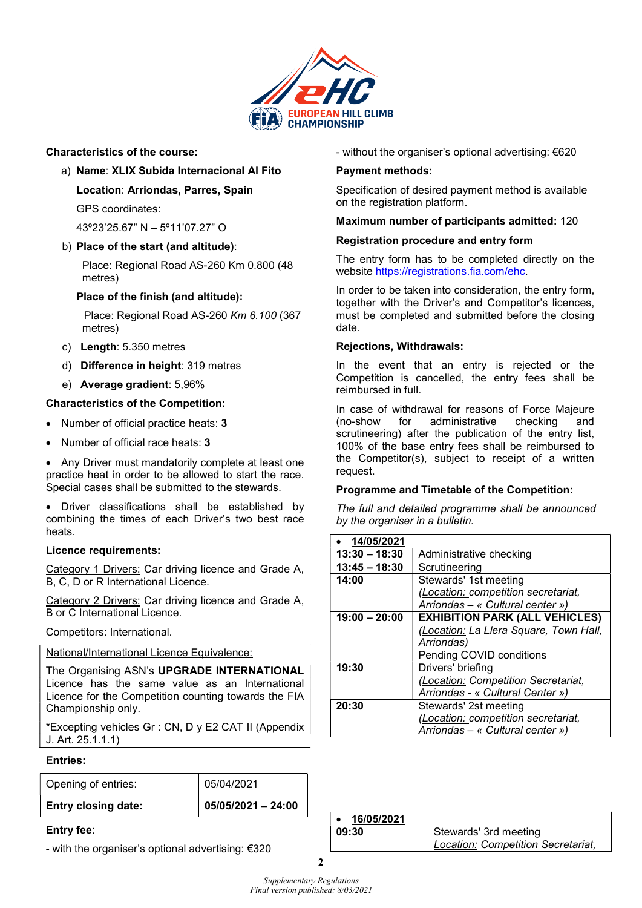

## Characteristics of the course:

- a) Name: XLIX Subida Internacional Al Fito
	- Location: Arriondas, Parres, Spain GPS coordinates:

43º23'25.67" N – 5º11'07.27" O

b) Place of the start (and altitude):

Place: Regional Road AS-260 Km 0.800 (48 metres)

## Place of the finish (and altitude):

 Place: Regional Road AS-260 Km 6.100 (367 metres)

- c) Length: 5.350 metres
- d) Difference in height: 319 metres
- e) Average gradient: 5,96%

## Characteristics of the Competition:

- Number of official practice heats: 3
- Number of official race heats: 3

• Any Driver must mandatorily complete at least one practice heat in order to be allowed to start the race. Special cases shall be submitted to the stewards.

 Driver classifications shall be established by combining the times of each Driver's two best race heats.

## Licence requirements:

Category 1 Drivers: Car driving licence and Grade A, B, C, D or R International Licence.

Category 2 Drivers: Car driving licence and Grade A, B or C International Licence.

Competitors: International.

National/International Licence Equivalence:

The Organising ASN's UPGRADE INTERNATIONAL Licence has the same value as an International Licence for the Competition counting towards the FIA Championship only.

\*Excepting vehicles Gr : CN, D y E2 CAT II (Appendix J. Art. 25.1.1.1)

## Entries:

| <b>Entry closing date:</b> | $05/05/2021 - 24:00$ |
|----------------------------|----------------------|
| Opening of entries:        | 05/04/2021           |

## Entry fee:

- with the organiser's optional advertising: €320

- without the organiser's optional advertising: €620

## Payment methods:

Specification of desired payment method is available on the registration platform.

## Maximum number of participants admitted: 120

## Registration procedure and entry form

The entry form has to be completed directly on the website https://registrations.fia.com/ehc.

In order to be taken into consideration, the entry form, together with the Driver's and Competitor's licences, must be completed and submitted before the closing date.

## Rejections, Withdrawals:

In the event that an entry is rejected or the Competition is cancelled, the entry fees shall be reimbursed in full.

In case of withdrawal for reasons of Force Majeure<br>(no-show for administrative checking and (no-show for administrative checking and scrutineering) after the publication of the entry list, 100% of the base entry fees shall be reimbursed to the Competitor(s), subject to receipt of a written request.

## Programme and Timetable of the Competition:

The full and detailed programme shall be announced by the organiser in a bulletin.

| • 14/05/2021    |                                        |
|-----------------|----------------------------------------|
| $13:30 - 18:30$ | Administrative checking                |
| $13:45 - 18:30$ | Scrutineering                          |
| 14:00           | Stewards' 1st meeting                  |
|                 | (Location: competition secretariat,    |
|                 | Arriondas - « Cultural center »)       |
| $19:00 - 20:00$ | <b>EXHIBITION PARK (ALL VEHICLES)</b>  |
|                 | (Location: La Llera Square, Town Hall, |
|                 | Arriondas)                             |
|                 | Pending COVID conditions               |
| 19:30           | Drivers' briefing                      |
|                 | (Location: Competition Secretariat,    |
|                 | Arriondas - « Cultural Center »)       |
| 20:30           | Stewards' 2st meeting                  |
|                 | (Location: competition secretariat,    |
|                 | Arriondas - « Cultural center »)       |

| 16/05/2021 |                                    |
|------------|------------------------------------|
| 09:30      | Stewards' 3rd meeting              |
|            | Location: Competition Secretariat, |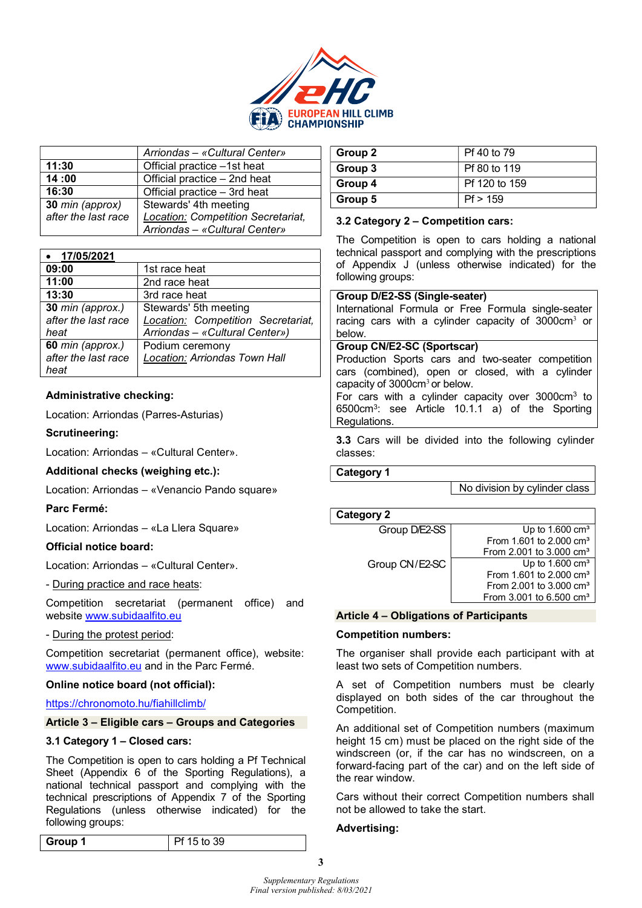

|                     | Arriondas - «Cultural Center»             |  |  |
|---------------------|-------------------------------------------|--|--|
| 11:30               | Official practice -1st heat               |  |  |
| 14:00               | Official practice - 2nd heat              |  |  |
| 16:30               | Official practice - 3rd heat              |  |  |
| 30 min (approx)     | Stewards' 4th meeting                     |  |  |
| after the last race | <b>Location: Competition Secretariat,</b> |  |  |
|                     | Arriondas - «Cultural Center»             |  |  |

| 17/05/2021                                      |                                                                                               |
|-------------------------------------------------|-----------------------------------------------------------------------------------------------|
| 09:00                                           | 1st race heat                                                                                 |
| 11:00                                           | 2nd race heat                                                                                 |
| 13:30                                           | 3rd race heat                                                                                 |
| 30 min (approx.)<br>after the last race<br>heat | Stewards' 5th meeting<br>Location: Competition Secretariat,<br>Arriondas - «Cultural Center») |
| 60 min (approx.)<br>after the last race<br>heat | Podium ceremony<br>Location: Arriondas Town Hall                                              |

## Administrative checking:

Location: Arriondas (Parres-Asturias)

#### Scrutineering:

Location: Arriondas – «Cultural Center».

Additional checks (weighing etc.):

Location: Arriondas – «Venancio Pando square»

#### Parc Fermé:

Location: Arriondas – «La Llera Square»

## Official notice board:

Location: Arriondas – «Cultural Center».

- During practice and race heats:

Competition secretariat (permanent office) and website www.subidaalfito.eu

- During the protest period:

Competition secretariat (permanent office), website: www.subidaalfito.eu and in the Parc Fermé.

## Online notice board (not official):

https://chronomoto.hu/fiahillclimb/

#### Article 3 – Eligible cars – Groups and Categories

#### 3.1 Category 1 – Closed cars:

The Competition is open to cars holding a Pf Technical Sheet (Appendix 6 of the Sporting Regulations), a national technical passport and complying with the technical prescriptions of Appendix 7 of the Sporting Regulations (unless otherwise indicated) for the following groups:

| Group 2 | Pf 40 to 79   |
|---------|---------------|
| Group 3 | Pf 80 to 119  |
| Group 4 | Pf 120 to 159 |
| Group 5 | Pf > 159      |

#### 3.2 Category 2 – Competition cars:

The Competition is open to cars holding a national technical passport and complying with the prescriptions of Appendix J (unless otherwise indicated) for the following groups:

#### Group D/E2-SS (Single-seater)

International Formula or Free Formula single-seater racing cars with a cylinder capacity of  $3000 \text{cm}^3$  or below.

#### Group CN/E2-SC (Sportscar)

Production Sports cars and two-seater competition cars (combined), open or closed, with a cylinder capacity of  $3000 \text{cm}^3$  or below.

For cars with a cylinder capacity over  $3000 \text{cm}^3$  to 6500cm<sup>3</sup> : see Article 10.1.1 a) of the Sporting Regulations.

3.3 Cars will be divided into the following cylinder classes:

Category 1

No division by cylinder class

| <b>Category 2</b> |                                     |  |  |  |  |
|-------------------|-------------------------------------|--|--|--|--|
| Group D/E2-SS     | Up to $1.600 \text{ cm}^3$          |  |  |  |  |
|                   | From 1.601 to 2.000 cm <sup>3</sup> |  |  |  |  |
|                   | From 2.001 to 3.000 $cm3$           |  |  |  |  |
| Group CN/E2-SC    | Up to $1.600 \text{ cm}^3$          |  |  |  |  |
|                   | From 1.601 to 2.000 cm <sup>3</sup> |  |  |  |  |
|                   | From 2.001 to 3.000 $cm3$           |  |  |  |  |
|                   | From 3.001 to 6.500 cm <sup>3</sup> |  |  |  |  |

#### Article 4 – Obligations of Participants

#### Competition numbers:

The organiser shall provide each participant with at least two sets of Competition numbers.

A set of Competition numbers must be clearly displayed on both sides of the car throughout the Competition.

An additional set of Competition numbers (maximum height 15 cm) must be placed on the right side of the windscreen (or, if the car has no windscreen, on a forward-facing part of the car) and on the left side of the rear window.

Cars without their correct Competition numbers shall not be allowed to take the start.

#### Advertising:

3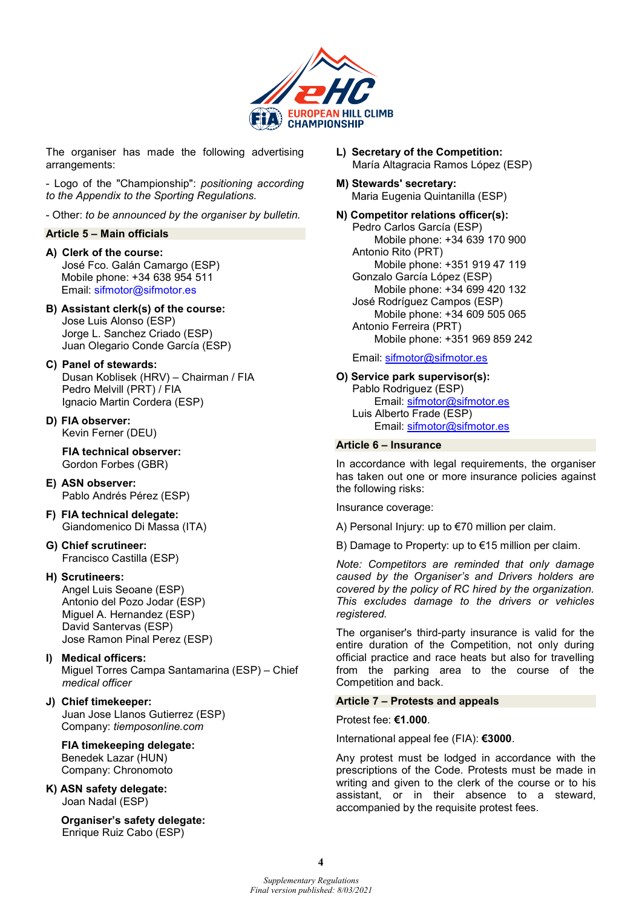

The organiser has made the following advertising arrangements:

- Logo of the "Championship": positioning according to the Appendix to the Sporting Regulations.

- Other: to be announced by the organiser by bulletin.

#### Article 5 – Main officials

A) Clerk of the course: José Fco. Galán Camargo (ESP) Mobile phone: +34 638 954 511 Email: sifmotor@sifmotor.es

- B) Assistant clerk(s) of the course: Jose Luis Alonso (ESP) Jorge L. Sanchez Criado (ESP) Juan Olegario Conde García (ESP)
- C) Panel of stewards: Dusan Koblisek (HRV) – Chairman / FIA Pedro Melvill (PRT) / FIA Ignacio Martin Cordera (ESP)
- D) FIA observer: Kevin Ferner (DEU)

FIA technical observer: Gordon Forbes (GBR)

- E) ASN observer: Pablo Andrés Pérez (ESP)
- F) FIA technical delegate: Giandomenico Di Massa (ITA)
- G) Chief scrutineer: Francisco Castilla (ESP)

#### H) Scrutineers:

Angel Luis Seoane (ESP) Antonio del Pozo Jodar (ESP) Miguel A. Hernandez (ESP) David Santervas (ESP) Jose Ramon Pinal Perez (ESP)

- I) Medical officers: Miguel Torres Campa Santamarina (ESP) – Chief medical officer
- J) Chief timekeeper: Juan Jose Llanos Gutierrez (ESP) Company: tiemposonline.com

 FIA timekeeping delegate: Benedek Lazar (HUN) Company: Chronomoto

K) ASN safety delegate: Joan Nadal (ESP)

> Organiser's safety delegate: Enrique Ruiz Cabo (ESP)

- L) Secretary of the Competition: María Altagracia Ramos López (ESP)
- M) Stewards' secretary: Maria Eugenia Quintanilla (ESP)

N) Competitor relations officer(s): Pedro Carlos García (ESP) Mobile phone: +34 639 170 900 Antonio Rito (PRT) Mobile phone: +351 919 47 119 Gonzalo García López (ESP) Mobile phone: +34 699 420 132 José Rodríguez Campos (ESP) Mobile phone: +34 609 505 065 Antonio Ferreira (PRT) Mobile phone: +351 969 859 242

#### Email: sifmotor@sifmotor.es

O) Service park supervisor(s): Pablo Rodriguez (ESP) Email: sifmotor@sifmotor.es Luis Alberto Frade (ESP) Email: sifmotor@sifmotor.es

#### Article 6 – Insurance

In accordance with legal requirements, the organiser has taken out one or more insurance policies against the following risks:

Insurance coverage:

A) Personal Injury: up to €70 million per claim.

B) Damage to Property: up to €15 million per claim.

Note: Competitors are reminded that only damage caused by the Organiser's and Drivers holders are covered by the policy of RC hired by the organization. This excludes damage to the drivers or vehicles registered.

The organiser's third-party insurance is valid for the entire duration of the Competition, not only during official practice and race heats but also for travelling from the parking area to the course of the Competition and back.

#### Article 7 – Protests and appeals

Protest fee: €1.000.

International appeal fee (FIA): €3000.

Any protest must be lodged in accordance with the prescriptions of the Code. Protests must be made in writing and given to the clerk of the course or to his assistant, or in their absence to a steward, accompanied by the requisite protest fees.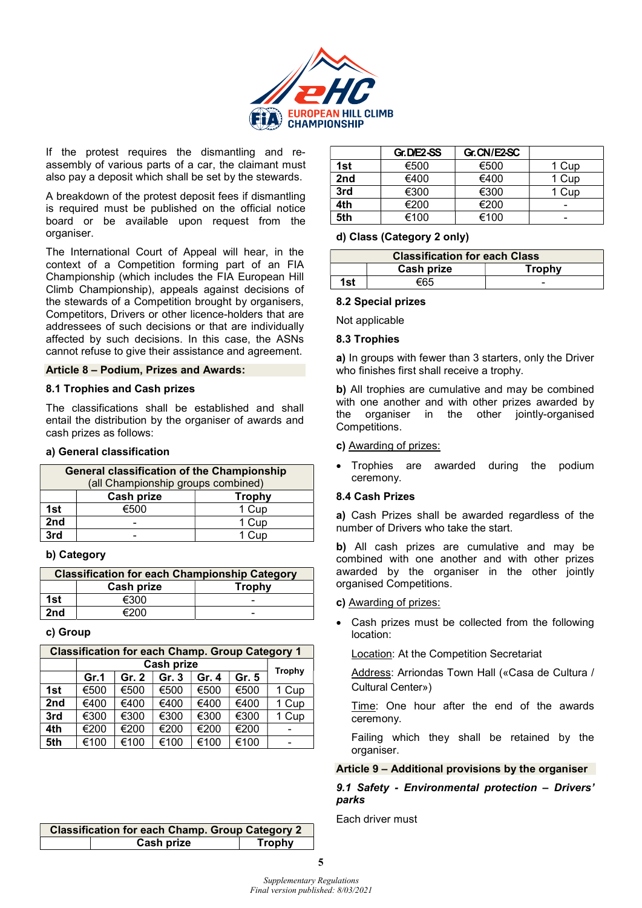

If the protest requires the dismantling and reassembly of various parts of a car, the claimant must also pay a deposit which shall be set by the stewards.

A breakdown of the protest deposit fees if dismantling is required must be published on the official notice board or be available upon request from the organiser.

The International Court of Appeal will hear, in the context of a Competition forming part of an FIA Championship (which includes the FIA European Hill Climb Championship), appeals against decisions of the stewards of a Competition brought by organisers, Competitors, Drivers or other licence-holders that are addressees of such decisions or that are individually affected by such decisions. In this case, the ASNs cannot refuse to give their assistance and agreement.

#### Article 8 – Podium, Prizes and Awards:

#### 8.1 Trophies and Cash prizes

The classifications shall be established and shall entail the distribution by the organiser of awards and cash prizes as follows:

#### a) General classification

| <b>General classification of the Championship</b><br>(all Championship groups combined) |      |       |  |  |
|-----------------------------------------------------------------------------------------|------|-------|--|--|
| Cash prize<br><b>Trophy</b>                                                             |      |       |  |  |
| 1st                                                                                     | €500 | 1 Cup |  |  |
| 2nd                                                                                     |      | 1 Cup |  |  |
| 3rd                                                                                     |      | 1 Cup |  |  |

## b) Category

| <b>Classification for each Championship Category</b> |            |               |  |
|------------------------------------------------------|------------|---------------|--|
|                                                      | Cash prize | <b>Trophy</b> |  |
| 1st                                                  | €300       |               |  |
| 2nd                                                  | €200       | -             |  |

c) Group

| <b>Classification for each Champ. Group Category 1</b> |            |       |       |       |        |       |
|--------------------------------------------------------|------------|-------|-------|-------|--------|-------|
|                                                        | Cash prize |       |       |       | Trophy |       |
|                                                        | Gr.1       | Gr. 2 | Gr. 3 | Gr. 4 | Gr. 5  |       |
| 1st                                                    | €500       | €500  | €500  | €500  | €500   | 1 Cup |
| 2nd                                                    | €400       | €400  | €400  | €400  | €400   | 1 Cup |
| 3rd                                                    | €300       | €300  | €300  | €300  | €300   | 1 Cup |
| 4th                                                    | €200       | €200  | €200  | €200  | €200   |       |
| 5th                                                    | €100       | €100  | €100  | €100  | €100   |       |

| <b>Classification for each Champ. Group Category 2</b> |                   |               |  |  |
|--------------------------------------------------------|-------------------|---------------|--|--|
|                                                        | <b>Cash prize</b> | <b>Trophy</b> |  |  |
|                                                        |                   |               |  |  |

|     | Gr. DIE2-SS | Gr. CN/E2-SC |       |
|-----|-------------|--------------|-------|
| 1st | €500        | €500         | 1 Cup |
| 2nd | €400        | €400         | 1 Cup |
| 3rd | €300        | €300         | Cup   |
| 4th | €200        | €200         | -     |
| 5th | €100        | €100         | -     |

#### d) Class (Category 2 only)

| <b>Classification for each Class</b> |            |               |  |
|--------------------------------------|------------|---------------|--|
|                                      | Cash prize | <b>Trophy</b> |  |
| 1st                                  | €65        | -             |  |

#### 8.2 Special prizes

Not applicable

#### 8.3 Trophies

a) In groups with fewer than 3 starters, only the Driver who finishes first shall receive a trophy.

b) All trophies are cumulative and may be combined with one another and with other prizes awarded by the organiser in the other jointly-organised Competitions.

#### c) Awarding of prizes:

 Trophies are awarded during the podium ceremony.

#### 8.4 Cash Prizes

a) Cash Prizes shall be awarded regardless of the number of Drivers who take the start.

b) All cash prizes are cumulative and may be combined with one another and with other prizes awarded by the organiser in the other jointly organised Competitions.

#### c) Awarding of prizes:

 Cash prizes must be collected from the following location:

Location: At the Competition Secretariat

Address: Arriondas Town Hall («Casa de Cultura / Cultural Center»)

Time: One hour after the end of the awards ceremony.

Failing which they shall be retained by the organiser.

#### Article 9 – Additional provisions by the organiser

## 9.1 Safety - Environmental protection – Drivers' parks

Each driver must